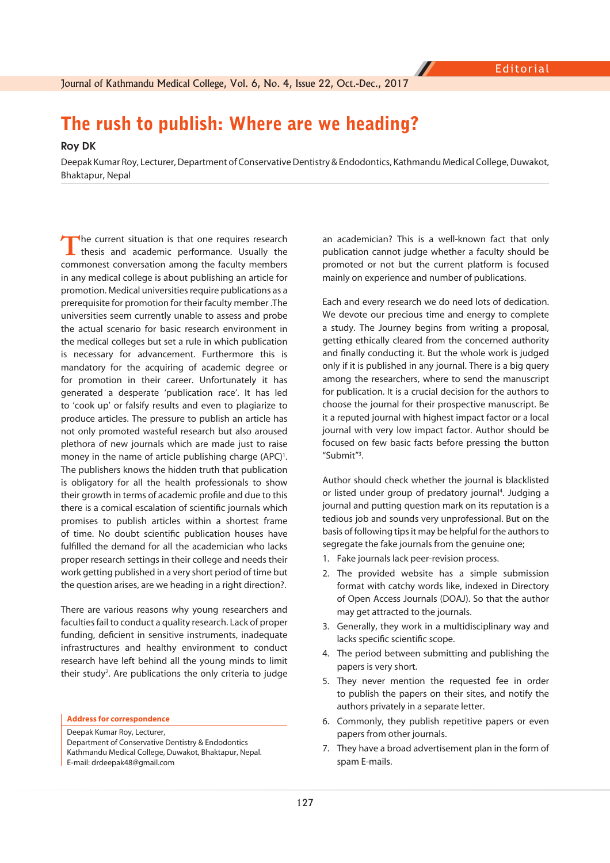Journal of Kathmandu Medical College, Vol. 6, No. 4, Issue 22, Oct.-Dec., 2017

## The rush to publish: Where are we heading?

## **Roy DK**

Deepak Kumar Roy, Lecturer, Department of Conservative Dentistry & Endodontics, Kathmandu Medical College, Duwakot, Bhaktapur, Nepal

The current situation is that one requires research<br>thesis and academic performance. Usually the commonest conversation among the faculty members in any medical college is about publishing an article for promotion. Medical universities require publications as a prerequisite for promotion for their faculty member .The universities seem currently unable to assess and probe the actual scenario for basic research environment in the medical colleges but set a rule in which publication is necessary for advancement. Furthermore this is mandatory for the acquiring of academic degree or for promotion in their career. Unfortunately it has generated a desperate 'publication race'. It has led to 'cook up' or falsify results and even to plagiarize to produce articles. The pressure to publish an article has not only promoted wasteful research but also aroused plethora of new journals which are made just to raise money in the name of article publishing charge (APC)<sup>1</sup>. The publishers knows the hidden truth that publication is obligatory for all the health professionals to show their growth in terms of academic profile and due to this there is a comical escalation of scientific journals which promises to publish articles within a shortest frame of time. No doubt scientific publication houses have fulfilled the demand for all the academician who lacks proper research settings in their college and needs their work getting published in a very short period of time but the question arises, are we heading in a right direction?.

There are various reasons why young researchers and faculties fail to conduct a quality research. Lack of proper funding, deficient in sensitive instruments, inadequate infrastructures and healthy environment to conduct research have left behind all the young minds to limit their study<sup>2</sup>. Are publications the only criteria to judge

**Address for correspondence** 

Deepak Kumar Roy, Lecturer,

Department of Conservative Dentistry & Endodontics Kathmandu Medical College, Duwakot, Bhaktapur, Nepal.

E-mail: drdeepak48@gmail.com

an academician? This is a well-known fact that only publication cannot judge whether a faculty should be promoted or not but the current platform is focused mainly on experience and number of publications.

Each and every research we do need lots of dedication. We devote our precious time and energy to complete a study. The Journey begins from writing a proposal, getting ethically cleared from the concerned authority and finally conducting it. But the whole work is judged only if it is published in any journal. There is a big query among the researchers, where to send the manuscript for publication. It is a crucial decision for the authors to choose the journal for their prospective manuscript. Be it a reputed journal with highest impact factor or a local journal with very low impact factor. Author should be focused on few basic facts before pressing the button "Submit"3 .

Author should check whether the journal is blacklisted or listed under group of predatory journal<sup>4</sup>. Judging a journal and putting question mark on its reputation is a tedious job and sounds very unprofessional. But on the basis of following tips it may be helpful for the authors to segregate the fake journals from the genuine one;

- 1. Fake journals lack peer-revision process.
- 2. The provided website has a simple submission format with catchy words like, indexed in Directory of Open Access Journals (DOAJ). So that the author may get attracted to the journals.
- 3. Generally, they work in a multidisciplinary way and lacks specific scientific scope.
- 4. The period between submitting and publishing the papers is very short.
- 5. They never mention the requested fee in order to publish the papers on their sites, and notify the authors privately in a separate letter.
- 6. Commonly, they publish repetitive papers or even papers from other journals.
- 7. They have a broad advertisement plan in the form of spam E-mails.